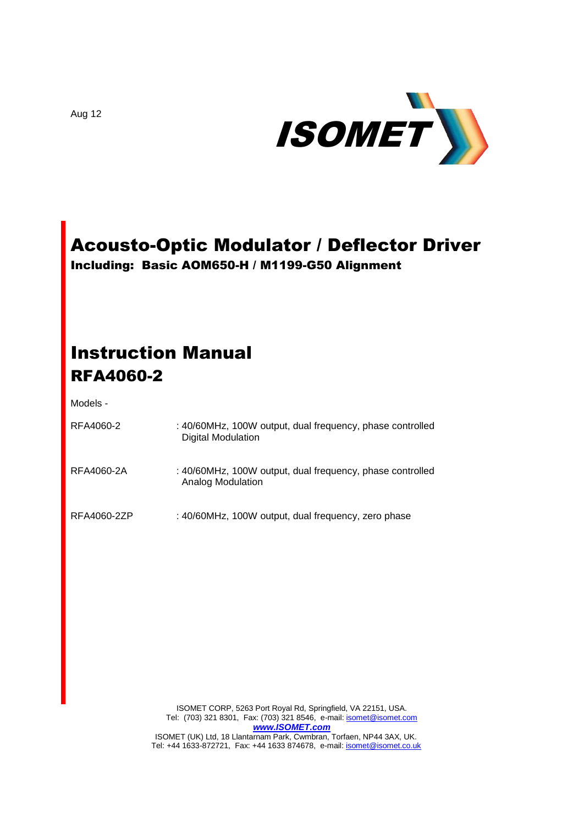

# Acousto-Optic Modulator / Deflector Driver

Including: Basic AOM650-H / M1199-G50 Alignment

# Instruction Manual RFA4060-2

#### Models -

| RFA4060-2   | : 40/60MHz, 100W output, dual frequency, phase controlled<br>Digital Modulation |
|-------------|---------------------------------------------------------------------------------|
| RFA4060-2A  | : 40/60MHz, 100W output, dual frequency, phase controlled<br>Analog Modulation  |
| RFA4060-2ZP | : 40/60MHz, 100W output, dual frequency, zero phase                             |

ISOMET CORP, 5263 Port Royal Rd, Springfield, VA 22151, USA. Tel: (703) 321 8301, Fax: (703) 321 8546, e-mail[: isomet@isomet.com](mailto:isomet@isomet.com) *[www.ISOMET.com](http://www.isomet.com/)* ISOMET (UK) Ltd, 18 Llantarnam Park, Cwmbran, Torfaen, NP44 3AX, UK.

Tel: +44 1633-872721, Fax: +44 1633 874678, e-mail: **isomet@isomet.co.uk** 

Aug 12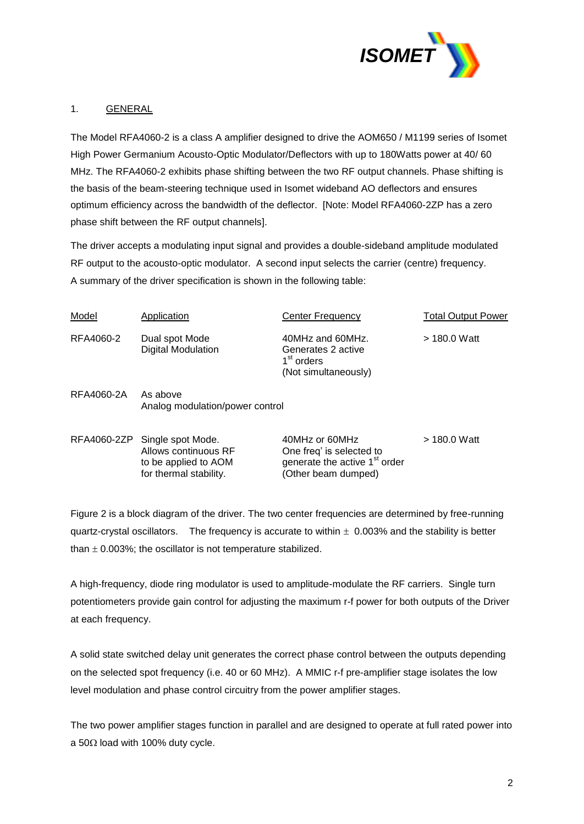

#### 1. GENERAL

The Model RFA4060-2 is a class A amplifier designed to drive the AOM650 / M1199 series of Isomet High Power Germanium Acousto-Optic Modulator/Deflectors with up to 180Watts power at 40/ 60 MHz. The RFA4060-2 exhibits phase shifting between the two RF output channels. Phase shifting is the basis of the beam-steering technique used in Isomet wideband AO deflectors and ensures optimum efficiency across the bandwidth of the deflector. [Note: Model RFA4060-2ZP has a zero phase shift between the RF output channels].

The driver accepts a modulating input signal and provides a double-sideband amplitude modulated RF output to the acousto-optic modulator. A second input selects the carrier (centre) frequency. A summary of the driver specification is shown in the following table:

| Model      | Application                                 | Center Frequency                                                                         | <b>Total Output Power</b> |
|------------|---------------------------------------------|------------------------------------------------------------------------------------------|---------------------------|
| RFA4060-2  | Dual spot Mode<br><b>Digital Modulation</b> | 40MHz and 60MHz.<br>Generates 2 active<br>1 <sup>st</sup> orders<br>(Not simultaneously) | > 180.0 Watt              |
| RFA4060-2A | As above<br>Analog modulation/power control |                                                                                          |                           |
|            | RFA4060-2ZP Single spot Mode.               | 40MHz or 60MHz                                                                           | > 180.0 Watt              |

Allows continuous RF One freq' is selected to to be applied to  $AOM$  generate the active  $1<sup>st</sup>$  order for thermal stability. (Other beam dumped)

Figure 2 is a block diagram of the driver. The two center frequencies are determined by free-running quartz-crystal oscillators. The frequency is accurate to within  $\pm$  0.003% and the stability is better than  $\pm$  0.003%; the oscillator is not temperature stabilized.

A high-frequency, diode ring modulator is used to amplitude-modulate the RF carriers. Single turn potentiometers provide gain control for adjusting the maximum r-f power for both outputs of the Driver at each frequency.

A solid state switched delay unit generates the correct phase control between the outputs depending on the selected spot frequency (i.e. 40 or 60 MHz). A MMIC r-f pre-amplifier stage isolates the low level modulation and phase control circuitry from the power amplifier stages.

The two power amplifier stages function in parallel and are designed to operate at full rated power into a 50 $\Omega$  load with 100% duty cycle.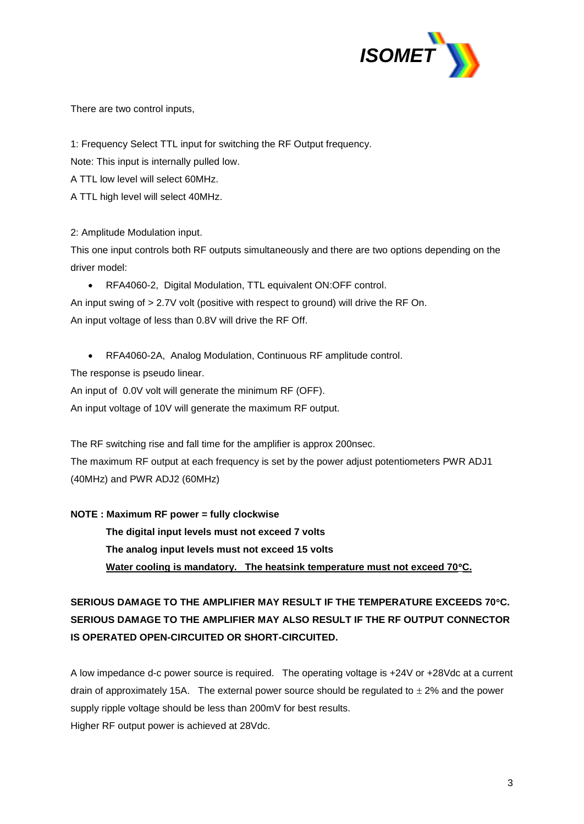

There are two control inputs,

1: Frequency Select TTL input for switching the RF Output frequency.

Note: This input is internally pulled low.

A TTL low level will select 60MHz.

A TTL high level will select 40MHz.

2: Amplitude Modulation input.

This one input controls both RF outputs simultaneously and there are two options depending on the driver model:

RFA4060-2, Digital Modulation, TTL equivalent ON:OFF control.

An input swing of > 2.7V volt (positive with respect to ground) will drive the RF On. An input voltage of less than 0.8V will drive the RF Off.

RFA4060-2A, Analog Modulation, Continuous RF amplitude control.

The response is pseudo linear.

An input of 0.0V volt will generate the minimum RF (OFF).

An input voltage of 10V will generate the maximum RF output.

The RF switching rise and fall time for the amplifier is approx 200nsec. The maximum RF output at each frequency is set by the power adjust potentiometers PWR ADJ1 (40MHz) and PWR ADJ2 (60MHz)

**NOTE : Maximum RF power = fully clockwise**

**The digital input levels must not exceed 7 volts The analog input levels must not exceed 15 volts Water cooling is mandatory. The heatsink temperature must not exceed 70C.** 

**SERIOUS DAMAGE TO THE AMPLIFIER MAY RESULT IF THE TEMPERATURE EXCEEDS 70C. SERIOUS DAMAGE TO THE AMPLIFIER MAY ALSO RESULT IF THE RF OUTPUT CONNECTOR IS OPERATED OPEN-CIRCUITED OR SHORT-CIRCUITED.**

A low impedance d-c power source is required. The operating voltage is +24V or +28Vdc at a current drain of approximately 15A. The external power source should be regulated to  $\pm$  2% and the power supply ripple voltage should be less than 200mV for best results. Higher RF output power is achieved at 28Vdc.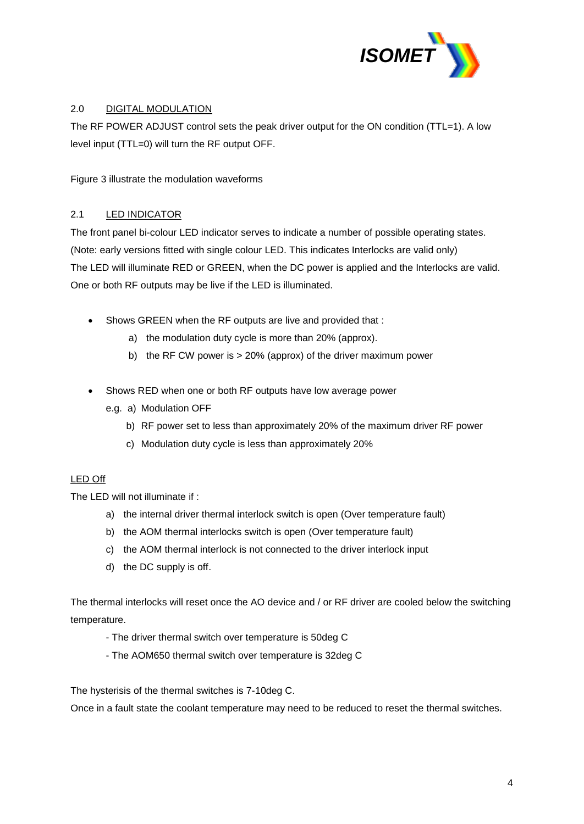

# 2.0 DIGITAL MODULATION

The RF POWER ADJUST control sets the peak driver output for the ON condition (TTL=1). A low level input (TTL=0) will turn the RF output OFF.

Figure 3 illustrate the modulation waveforms

#### 2.1 LED INDICATOR

The front panel bi-colour LED indicator serves to indicate a number of possible operating states. (Note: early versions fitted with single colour LED. This indicates Interlocks are valid only) The LED will illuminate RED or GREEN, when the DC power is applied and the Interlocks are valid. One or both RF outputs may be live if the LED is illuminated.

- Shows GREEN when the RF outputs are live and provided that :
	- a) the modulation duty cycle is more than 20% (approx).
	- b) the RF CW power is > 20% (approx) of the driver maximum power
- Shows RED when one or both RF outputs have low average power
	- e.g. a) Modulation OFF
		- b) RF power set to less than approximately 20% of the maximum driver RF power
		- c) Modulation duty cycle is less than approximately 20%

#### LED Off

The LED will not illuminate if :

- a) the internal driver thermal interlock switch is open (Over temperature fault)
- b) the AOM thermal interlocks switch is open (Over temperature fault)
- c) the AOM thermal interlock is not connected to the driver interlock input
- d) the DC supply is off.

The thermal interlocks will reset once the AO device and / or RF driver are cooled below the switching temperature.

- The driver thermal switch over temperature is 50deg C
- The AOM650 thermal switch over temperature is 32deg C

The hysterisis of the thermal switches is 7-10deg C.

Once in a fault state the coolant temperature may need to be reduced to reset the thermal switches.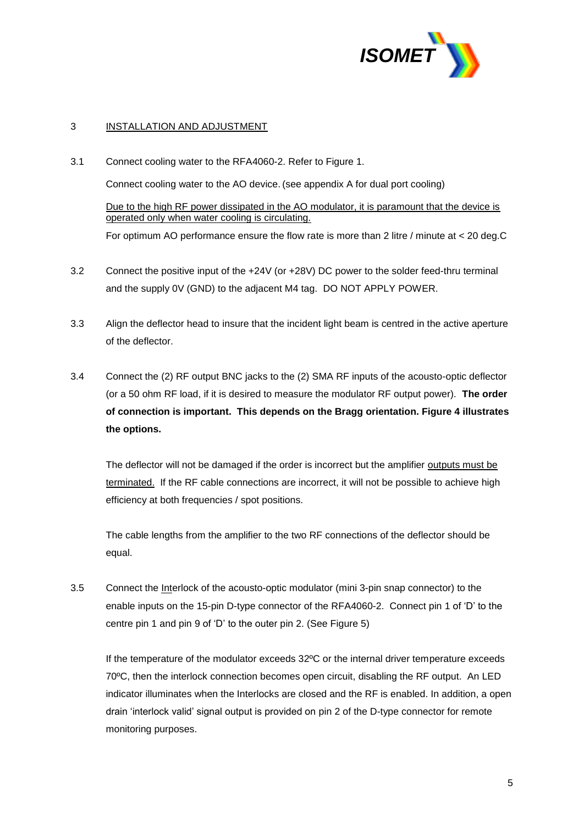

#### 3 INSTALLATION AND ADJUSTMENT

- 3.1 Connect cooling water to the RFA4060-2. Refer to Figure 1. Connect cooling water to the AO device. (see appendix A for dual port cooling) Due to the high RF power dissipated in the AO modulator, it is paramount that the device is operated only when water cooling is circulating. For optimum AO performance ensure the flow rate is more than 2 litre / minute at < 20 deg.C
- 3.2 Connect the positive input of the +24V (or +28V) DC power to the solder feed-thru terminal and the supply 0V (GND) to the adjacent M4 tag. DO NOT APPLY POWER.
- 3.3 Align the deflector head to insure that the incident light beam is centred in the active aperture of the deflector.
- 3.4 Connect the (2) RF output BNC jacks to the (2) SMA RF inputs of the acousto-optic deflector (or a 50 ohm RF load, if it is desired to measure the modulator RF output power). **The order of connection is important. This depends on the Bragg orientation. Figure 4 illustrates the options.**

The deflector will not be damaged if the order is incorrect but the amplifier outputs must be terminated. If the RF cable connections are incorrect, it will not be possible to achieve high efficiency at both frequencies / spot positions.

The cable lengths from the amplifier to the two RF connections of the deflector should be equal.

3.5 Connect the Interlock of the acousto-optic modulator (mini 3-pin snap connector) to the enable inputs on the 15-pin D-type connector of the RFA4060-2. Connect pin 1 of 'D' to the centre pin 1 and pin 9 of 'D' to the outer pin 2. (See Figure 5)

If the temperature of the modulator exceeds 32ºC or the internal driver temperature exceeds 70ºC, then the interlock connection becomes open circuit, disabling the RF output. An LED indicator illuminates when the Interlocks are closed and the RF is enabled. In addition, a open drain 'interlock valid' signal output is provided on pin 2 of the D-type connector for remote monitoring purposes.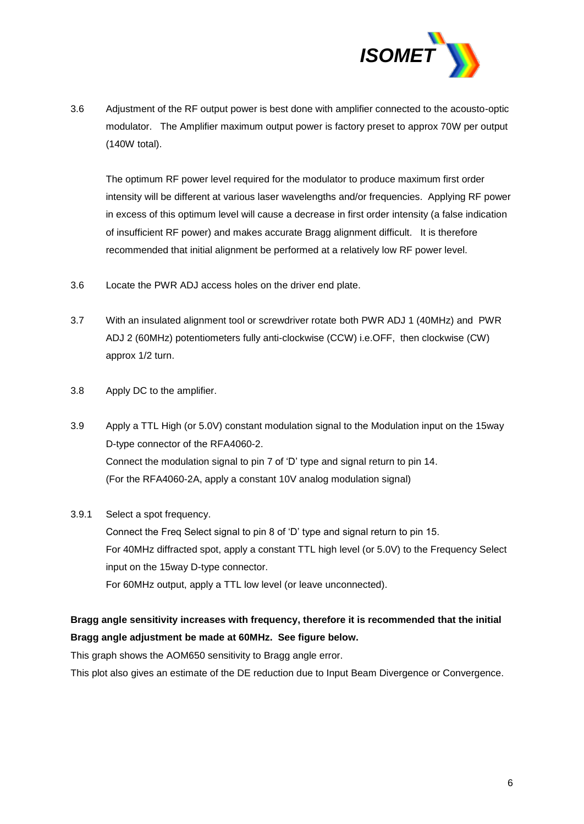

3.6 Adjustment of the RF output power is best done with amplifier connected to the acousto-optic modulator. The Amplifier maximum output power is factory preset to approx 70W per output (140W total).

The optimum RF power level required for the modulator to produce maximum first order intensity will be different at various laser wavelengths and/or frequencies. Applying RF power in excess of this optimum level will cause a decrease in first order intensity (a false indication of insufficient RF power) and makes accurate Bragg alignment difficult. It is therefore recommended that initial alignment be performed at a relatively low RF power level.

- 3.6 Locate the PWR ADJ access holes on the driver end plate.
- 3.7 With an insulated alignment tool or screwdriver rotate both PWR ADJ 1 (40MHz) and PWR ADJ 2 (60MHz) potentiometers fully anti-clockwise (CCW) i.e.OFF, then clockwise (CW) approx 1/2 turn.
- 3.8 Apply DC to the amplifier.
- 3.9 Apply a TTL High (or 5.0V) constant modulation signal to the Modulation input on the 15way D-type connector of the RFA4060-2. Connect the modulation signal to pin 7 of 'D' type and signal return to pin 14. (For the RFA4060-2A, apply a constant 10V analog modulation signal)

#### 3.9.1 Select a spot frequency.

Connect the Freq Select signal to pin 8 of 'D' type and signal return to pin 15. For 40MHz diffracted spot, apply a constant TTL high level (or 5.0V) to the Frequency Select input on the 15way D-type connector. For 60MHz output, apply a TTL low level (or leave unconnected).

# **Bragg angle sensitivity increases with frequency, therefore it is recommended that the initial Bragg angle adjustment be made at 60MHz. See figure below.**

This graph shows the AOM650 sensitivity to Bragg angle error.

This plot also gives an estimate of the DE reduction due to Input Beam Divergence or Convergence.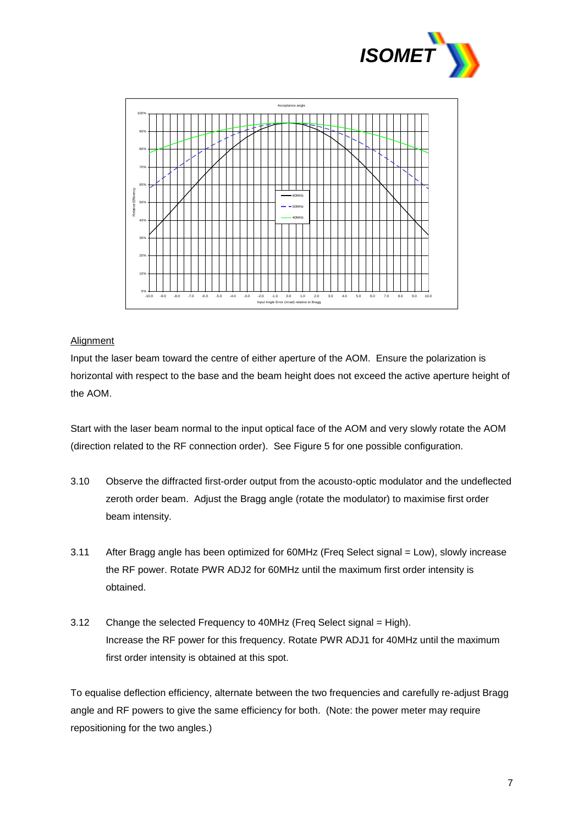



#### **Alignment**

Input the laser beam toward the centre of either aperture of the AOM. Ensure the polarization is horizontal with respect to the base and the beam height does not exceed the active aperture height of the AOM.

Start with the laser beam normal to the input optical face of the AOM and very slowly rotate the AOM (direction related to the RF connection order). See Figure 5 for one possible configuration.

- 3.10 Observe the diffracted first-order output from the acousto-optic modulator and the undeflected zeroth order beam. Adjust the Bragg angle (rotate the modulator) to maximise first order beam intensity.
- 3.11 After Bragg angle has been optimized for 60MHz (Freq Select signal = Low), slowly increase the RF power. Rotate PWR ADJ2 for 60MHz until the maximum first order intensity is obtained.
- 3.12 Change the selected Frequency to 40MHz (Freq Select signal = High). Increase the RF power for this frequency. Rotate PWR ADJ1 for 40MHz until the maximum first order intensity is obtained at this spot.

To equalise deflection efficiency, alternate between the two frequencies and carefully re-adjust Bragg angle and RF powers to give the same efficiency for both. (Note: the power meter may require repositioning for the two angles.)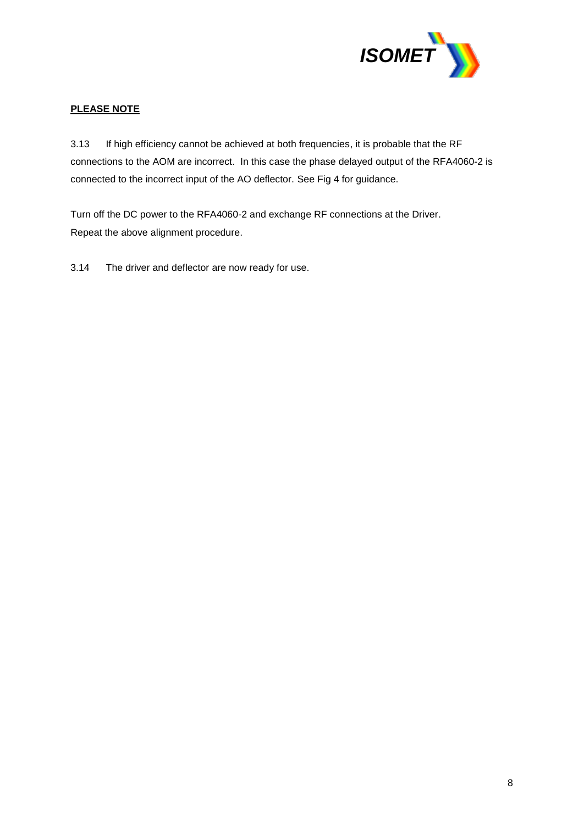

# **PLEASE NOTE**

3.13 If high efficiency cannot be achieved at both frequencies, it is probable that the RF connections to the AOM are incorrect. In this case the phase delayed output of the RFA4060-2 is connected to the incorrect input of the AO deflector. See Fig 4 for guidance.

Turn off the DC power to the RFA4060-2 and exchange RF connections at the Driver. Repeat the above alignment procedure.

3.14 The driver and deflector are now ready for use.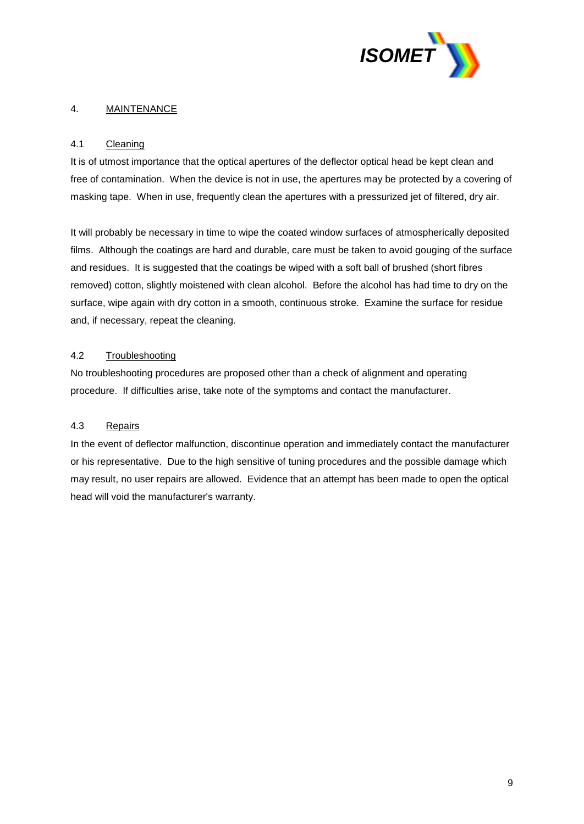

## 4. MAINTENANCE

#### 4.1 Cleaning

It is of utmost importance that the optical apertures of the deflector optical head be kept clean and free of contamination. When the device is not in use, the apertures may be protected by a covering of masking tape. When in use, frequently clean the apertures with a pressurized jet of filtered, dry air.

It will probably be necessary in time to wipe the coated window surfaces of atmospherically deposited films. Although the coatings are hard and durable, care must be taken to avoid gouging of the surface and residues. It is suggested that the coatings be wiped with a soft ball of brushed (short fibres removed) cotton, slightly moistened with clean alcohol. Before the alcohol has had time to dry on the surface, wipe again with dry cotton in a smooth, continuous stroke. Examine the surface for residue and, if necessary, repeat the cleaning.

#### 4.2 Troubleshooting

No troubleshooting procedures are proposed other than a check of alignment and operating procedure. If difficulties arise, take note of the symptoms and contact the manufacturer.

#### 4.3 Repairs

In the event of deflector malfunction, discontinue operation and immediately contact the manufacturer or his representative. Due to the high sensitive of tuning procedures and the possible damage which may result, no user repairs are allowed. Evidence that an attempt has been made to open the optical head will void the manufacturer's warranty.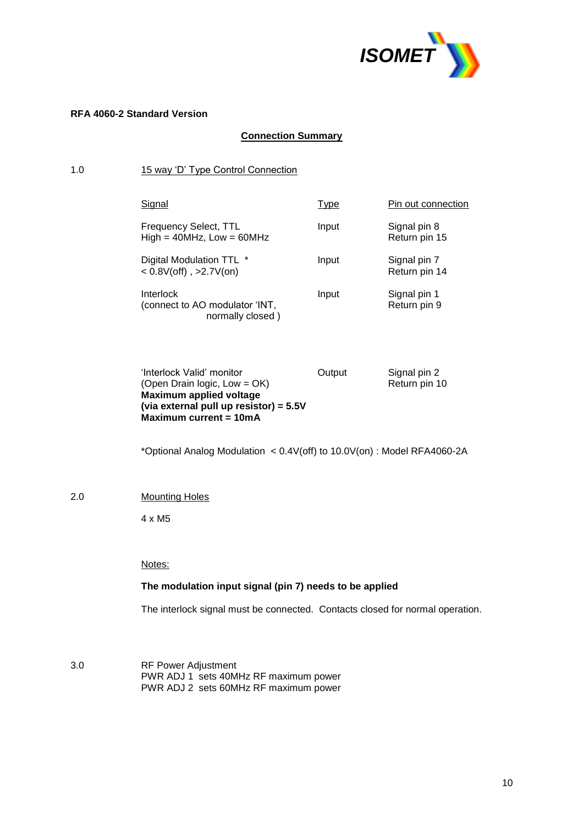

#### **RFA 4060-2 Standard Version**

# **Connection Summary**

# 1.0 15 way 'D' Type Control Connection

| Signal                                                          | Type  | Pin out connection            |
|-----------------------------------------------------------------|-------|-------------------------------|
| Frequency Select, TTL<br>$High = 40MHz$ , Low = 60MHz           | Input | Signal pin 8<br>Return pin 15 |
| Digital Modulation TTL *<br>$< 0.8V$ (off), >2.7V(on)           | Input | Signal pin 7<br>Return pin 14 |
| Interlock<br>(connect to AO modulator 'INT,<br>normally closed) | Input | Signal pin 1<br>Return pin 9  |

| 'Interlock Valid' monitor                | Output | Signal pin 2  |
|------------------------------------------|--------|---------------|
| (Open Drain logic, $Low = OK$ )          |        | Return pin 10 |
| Maximum applied voltage                  |        |               |
| (via external pull up resistor) = $5.5V$ |        |               |
| Maximum current = 10mA                   |        |               |

\*Optional Analog Modulation < 0.4V(off) to 10.0V(on) : Model RFA4060-2A

#### 2.0 Mounting Holes

4 x M5

#### Notes:

#### **The modulation input signal (pin 7) needs to be applied**

The interlock signal must be connected. Contacts closed for normal operation.

3.0 RF Power Adjustment PWR ADJ 1 sets 40MHz RF maximum power PWR ADJ 2 sets 60MHz RF maximum power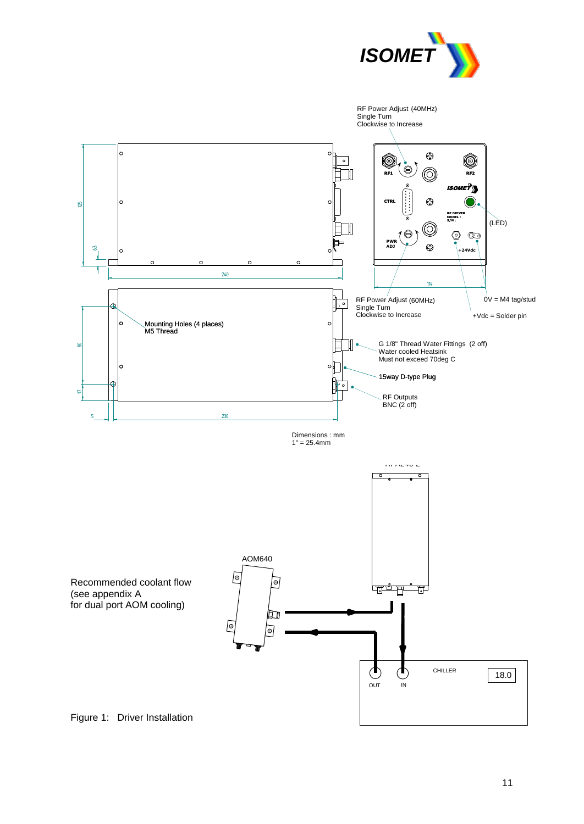

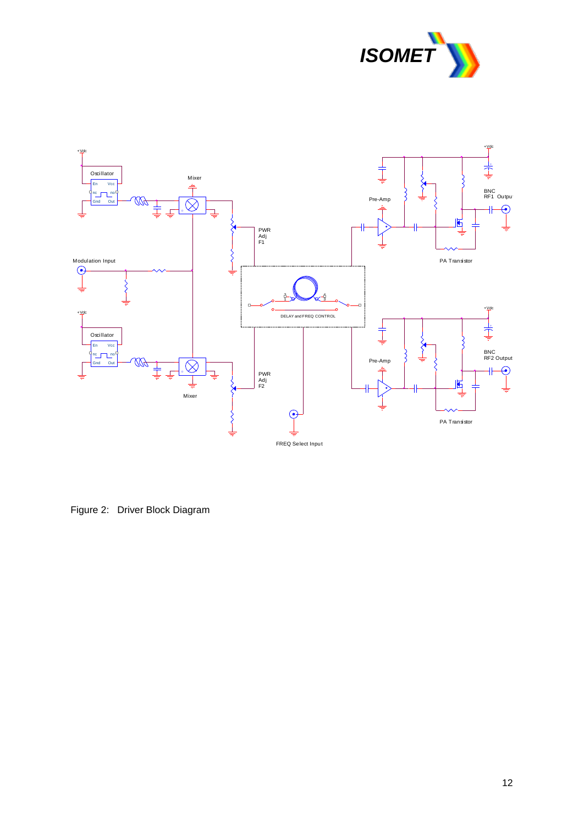



Figure 2: Driver Block Diagram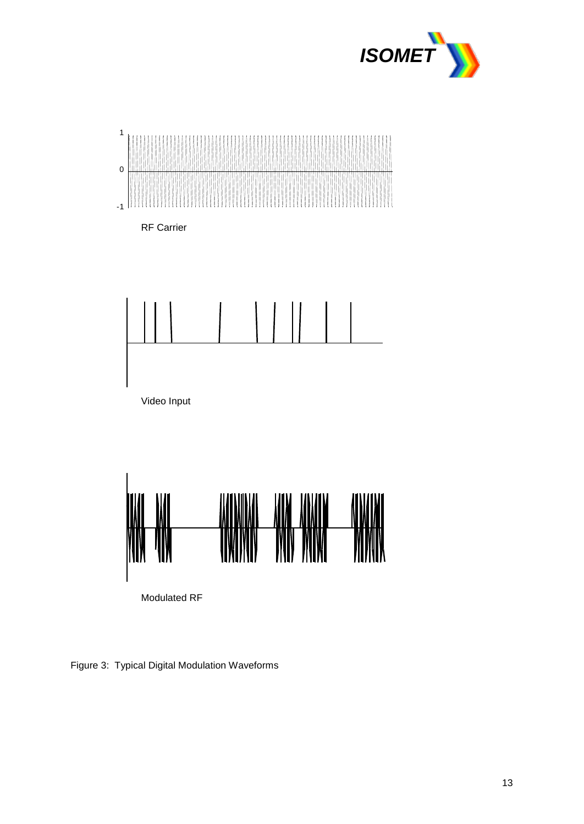



RF Carrier





Figure 3: Typical Digital Modulation Waveforms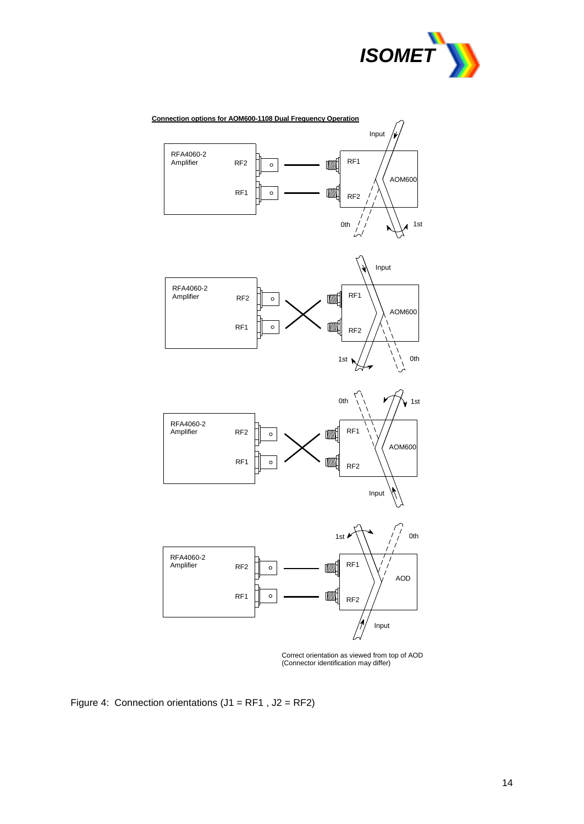



Correct orientation as viewed from top of AOD (Connector identification may differ)

Figure 4: Connection orientations  $(J1 = RF1, J2 = RF2)$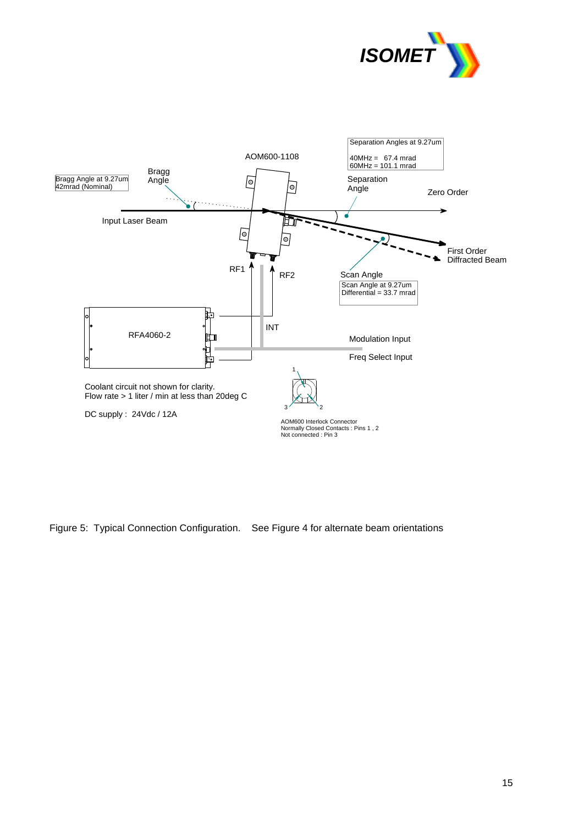



Figure 5: Typical Connection Configuration. See Figure 4 for alternate beam orientations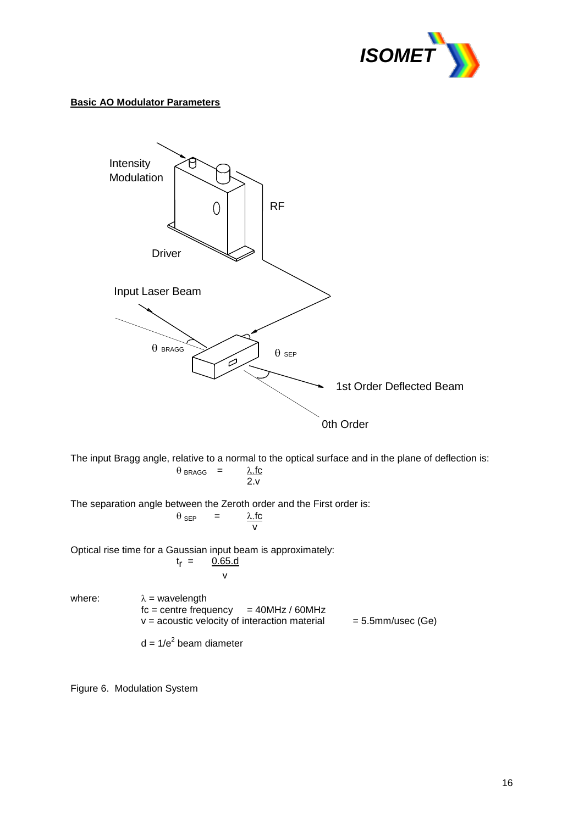

#### **Basic AO Modulator Parameters**



The input Bragg angle, relative to a normal to the optical surface and in the plane of deflection is:  $\theta_{BRAGG}$  =  $\lambda$ .fc  $2.9$ 

The separation angle between the Zeroth order and the First order is:

$$
\theta_{\text{SEP}} = \frac{\lambda \text{.fc}}{v}
$$

Optical rise time for a Gaussian input beam is approximately:  $t_r =$  $0.65.d$ v

where:  $\lambda$  = wavelength  $fc = centre frequency = 40MHz / 60MHz$  $v =$  acoustic velocity of interaction material  $= 5.5$ mm/usec (Ge)

 $d = 1/e<sup>2</sup>$  beam diameter